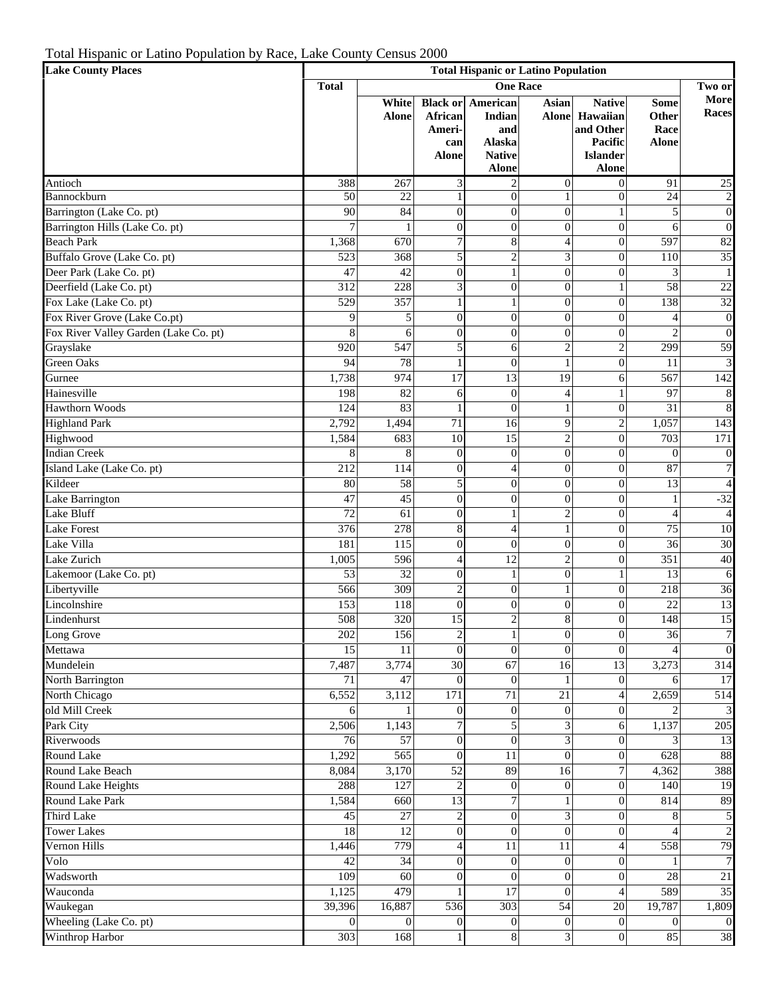Total Hispanic or Latino Population by Race, Lake County Census 2000

| <b>Lake County Places</b>             | <b>Total Hispanic or Latino Population</b> |                       |                                   |                                                                                      |                              |                                                                                      |                                              |                      |  |
|---------------------------------------|--------------------------------------------|-----------------------|-----------------------------------|--------------------------------------------------------------------------------------|------------------------------|--------------------------------------------------------------------------------------|----------------------------------------------|----------------------|--|
|                                       | <b>One Race</b><br><b>Total</b><br>Two or  |                       |                                   |                                                                                      |                              |                                                                                      |                                              |                      |  |
|                                       |                                            | White<br><b>Alone</b> | African<br>Ameri-<br>can<br>Alone | <b>Black or American</b><br>Indian<br>and<br>Alaska<br><b>Native</b><br><b>Alone</b> | <b>Asian</b><br><b>Alone</b> | <b>Native</b><br>Hawaiian<br>and Other<br>Pacific<br><b>Islander</b><br><b>Alone</b> | <b>Some</b><br>Other<br>Race<br><b>Alone</b> | More<br><b>Races</b> |  |
| Antioch                               | 388                                        | 267                   | 3                                 | $\overline{2}$                                                                       | $\overline{0}$               | $\overline{0}$                                                                       | 91                                           | $25\,$               |  |
| Bannockburn                           | 50                                         | 22                    | $\mathbf{1}$                      | $\overline{0}$                                                                       | $\mathbf{1}$                 | $\overline{0}$                                                                       | 24                                           | $\overline{2}$       |  |
| Barrington (Lake Co. pt)              | 90                                         | 84                    | $\mathbf{0}$                      | $\overline{0}$                                                                       | $\theta$                     | $\mathbf{1}$                                                                         | 5                                            | $\boldsymbol{0}$     |  |
| Barrington Hills (Lake Co. pt)        | $\overline{7}$                             |                       | $\mathbf{0}$                      | $\overline{0}$                                                                       | $\overline{0}$               | $\overline{0}$                                                                       | 6                                            | $\overline{0}$       |  |
| <b>Beach Park</b>                     | 1,368                                      | 670                   | $\overline{7}$                    | 8                                                                                    | $\overline{4}$               | $\overline{0}$                                                                       | 597                                          | 82                   |  |
| Buffalo Grove (Lake Co. pt)           | 523                                        | 368                   | 5                                 | $\overline{2}$                                                                       | 3                            | $\overline{0}$                                                                       | 110                                          | 35                   |  |
| Deer Park (Lake Co. pt)               | 47                                         | 42                    | $\mathbf{0}$                      | 1                                                                                    | $\theta$                     | $\overline{0}$                                                                       | 3                                            | $\mathbf{1}$         |  |
| Deerfield (Lake Co. pt)               | 312                                        | 228                   | $\overline{3}$                    | $\overline{0}$                                                                       | $\theta$                     | $\mathbf{1}$                                                                         | 58                                           | 22                   |  |
| Fox Lake (Lake Co. pt)                | 529                                        | 357                   | $\mathbf{1}$                      | 1                                                                                    | $\overline{0}$               | $\overline{0}$                                                                       | 138                                          | 32                   |  |
| Fox River Grove (Lake Co.pt)          | 9                                          | 5                     | $\overline{0}$                    | $\overline{0}$                                                                       | $\overline{0}$               | $\overline{0}$                                                                       | $\overline{4}$                               | $\boldsymbol{0}$     |  |
| Fox River Valley Garden (Lake Co. pt) | 8                                          | 6                     | $\overline{0}$                    | $\overline{0}$                                                                       | $\overline{0}$               | $\overline{0}$                                                                       | $\overline{2}$                               | $\overline{0}$       |  |
| Grayslake                             | 920                                        | 547                   | 5                                 | 6                                                                                    | $\overline{2}$               | $\overline{c}$                                                                       | 299                                          | 59                   |  |
| <b>Green Oaks</b>                     | 94                                         | 78                    | $\mathbf{1}$                      | $\overline{0}$                                                                       | $\mathbf{1}$                 | $\overline{0}$                                                                       | 11                                           | $\overline{3}$       |  |
| Gurnee                                | 1,738                                      | 974                   | $\overline{17}$                   | 13                                                                                   | 19                           | 6                                                                                    | 567                                          | 142                  |  |
| Hainesville                           | 198                                        | 82                    | 6                                 | $\overline{0}$                                                                       | $\overline{4}$               | $\mathbf{1}$                                                                         | 97                                           | $\,8\,$              |  |
| <b>Hawthorn Woods</b>                 | 124                                        | 83                    | $\mathbf{1}$                      | $\overline{0}$                                                                       | $\mathbf{1}$                 | $\overline{0}$                                                                       | 31                                           | $\bf 8$              |  |
| <b>Highland Park</b>                  | 2,792                                      | 1,494                 | 71                                | 16                                                                                   | 9                            | $\overline{c}$                                                                       | 1,057                                        | 143                  |  |
| Highwood                              | 1,584                                      | 683                   | 10                                | 15                                                                                   | $\overline{2}$               | $\overline{0}$                                                                       | 703                                          | 171                  |  |
| <b>Indian Creek</b>                   | 8                                          | 8                     | $\boldsymbol{0}$                  | $\overline{0}$                                                                       | $\overline{0}$               | $\overline{0}$                                                                       | $\overline{0}$                               | $\boldsymbol{0}$     |  |
| Island Lake (Lake Co. pt)             | 212                                        | 114                   | $\overline{0}$                    | $\overline{4}$                                                                       | $\overline{0}$               | $\overline{0}$                                                                       | 87                                           | $\overline{7}$       |  |
| Kildeer                               | 80                                         | 58                    | 5                                 | $\overline{0}$                                                                       | $\overline{0}$               | $\overline{0}$                                                                       | 13                                           | $\overline{4}$       |  |
| Lake Barrington                       | 47                                         | 45                    | $\overline{0}$                    | $\overline{0}$                                                                       | $\theta$                     | $\overline{0}$                                                                       | $\mathbf{1}$                                 | $-32$                |  |
| Lake Bluff                            | 72                                         | 61                    | $\mathbf{0}$                      |                                                                                      | $\overline{2}$               | $\overline{0}$                                                                       | $\overline{4}$                               | $\overline{4}$       |  |
| <b>Lake Forest</b>                    | 376                                        | 278                   | 8                                 | $\overline{4}$                                                                       | $\mathbf{1}$                 | $\overline{0}$                                                                       | 75                                           | 10                   |  |
| Lake Villa                            | 181                                        | 115                   | $\mathbf{0}$                      | $\overline{0}$                                                                       | $\overline{0}$               | $\overline{0}$                                                                       | 36                                           | 30                   |  |
| Lake Zurich                           | 1,005                                      | 596                   | $\overline{4}$                    | 12                                                                                   | $\overline{2}$               | $\overline{0}$                                                                       | 351                                          | 40                   |  |
| Lakemoor (Lake Co. pt)                | 53                                         | 32                    | $\mathbf{0}$                      | $\mathbf{1}$                                                                         | $\overline{0}$               | $\mathbf{1}$                                                                         | 13                                           | 6                    |  |
| Libertyville                          | 566                                        | 309                   | $\overline{c}$                    | $\overline{0}$                                                                       | $\mathbf{1}$                 | $\overline{0}$                                                                       | 218                                          | 36                   |  |
| Lincolnshire                          | 153                                        | $11\overline{8}$      | $\overline{0}$                    | $\overline{0}$                                                                       | $\overline{0}$               | $\overline{0}$                                                                       | 22                                           | 13                   |  |
| Lindenhurst                           | 508                                        | 320                   | $\overline{15}$                   | $\overline{2}$                                                                       | 8                            | $\overline{0}$                                                                       | 148                                          | 15                   |  |
| Long Grove                            | 202                                        | 156                   | $\overline{2}$                    | $\mathbf{1}$                                                                         | $\mathbf{0}$                 | $\overline{0}$                                                                       | 36                                           | $\boldsymbol{7}$     |  |
| Mettawa                               | 15                                         | 11                    | $\overline{0}$                    | $\theta$                                                                             | $\Omega$                     | $\Omega$                                                                             |                                              | $\overline{0}$       |  |
| Mundelein                             | 7,487                                      | 3,774                 | $\overline{30}$                   | 67                                                                                   | 16                           | 13                                                                                   | 3,273                                        | 314                  |  |
| North Barrington                      | 71                                         | $\overline{47}$       | $\theta$                          | $\theta$                                                                             |                              | $\overline{0}$                                                                       | 6                                            | 17                   |  |
| North Chicago                         | 6,552                                      | 3,112                 | 171                               | 71                                                                                   | 21                           | $\overline{4}$                                                                       | 2,659                                        | 514                  |  |
| old Mill Creek                        | 6                                          |                       | $\overline{0}$                    | $\overline{0}$                                                                       | $\Omega$                     | $\overline{0}$                                                                       | $\overline{2}$                               | $\overline{3}$       |  |
| Park City                             | 2,506                                      | 1,143                 | $\overline{7}$                    | 5                                                                                    | 3                            | 6                                                                                    | 1,137                                        | 205                  |  |
| Riverwoods                            | 76                                         | 57                    | $\overline{0}$                    | $\overline{0}$                                                                       | 3                            | $\overline{0}$                                                                       | 3                                            | 13                   |  |
| Round Lake                            | 1,292                                      | $\frac{565}{565}$     | $\theta$                          | 11                                                                                   | $\Omega$                     | $\theta$                                                                             | 628                                          | 88                   |  |
| Round Lake Beach                      | 8,084                                      | 3,170                 | $\overline{52}$                   | 89                                                                                   | 16                           | $\overline{7}$                                                                       | 4,362                                        | 388                  |  |
| Round Lake Heights                    | 288                                        | 127                   | $\overline{2}$                    | $\overline{0}$                                                                       | $\Omega$                     | $\overline{0}$                                                                       | 140                                          | 19                   |  |
| Round Lake Park                       | 1,584                                      | 660                   | 13                                | $\overline{7}$                                                                       |                              | $\overline{0}$                                                                       | 814                                          | 89                   |  |
| <b>Third Lake</b>                     | 45                                         | $\overline{27}$       | $\overline{c}$                    | $\overline{0}$                                                                       | 3                            | $\overline{0}$                                                                       | 8                                            | 5                    |  |
| <b>Tower Lakes</b>                    | 18                                         | $\overline{12}$       | $\mathbf{0}$                      | $\theta$                                                                             | $\Omega$                     | $\theta$                                                                             | $\overline{4}$                               | $\overline{c}$       |  |
| Vernon Hills                          | 1,446                                      | 779                   | $\overline{4}$                    | 11                                                                                   | 11                           | $\overline{4}$                                                                       | 558                                          | 79                   |  |
| Volo                                  | 42                                         | 34                    | $\overline{0}$                    | $\overline{0}$                                                                       | $\Omega$                     | $\theta$                                                                             |                                              | $\overline{7}$       |  |
| Wadsworth                             | 109                                        | $\overline{60}$       | $\theta$                          | $\Omega$                                                                             | $\theta$                     | $\theta$                                                                             | 28                                           | 21                   |  |
| Wauconda                              | 1,125                                      | 479                   |                                   | 17                                                                                   | $\Omega$                     | $\overline{4}$                                                                       | 589                                          | 35                   |  |
| Waukegan                              | 39,396                                     | 16,887                | 536                               | 303                                                                                  | 54                           | 20                                                                                   | 19,787                                       | 1,809                |  |
| Wheeling (Lake Co. pt)                | $\Omega$                                   | $\Omega$              | $\overline{0}$                    | $\overline{0}$                                                                       | $\Omega$                     | $\overline{0}$                                                                       | $\mathbf{0}$                                 | $\boldsymbol{0}$     |  |
| Winthrop Harbor                       | 303                                        | 168                   |                                   | 8                                                                                    | 3                            | $\theta$                                                                             | 85                                           | $38\,$               |  |